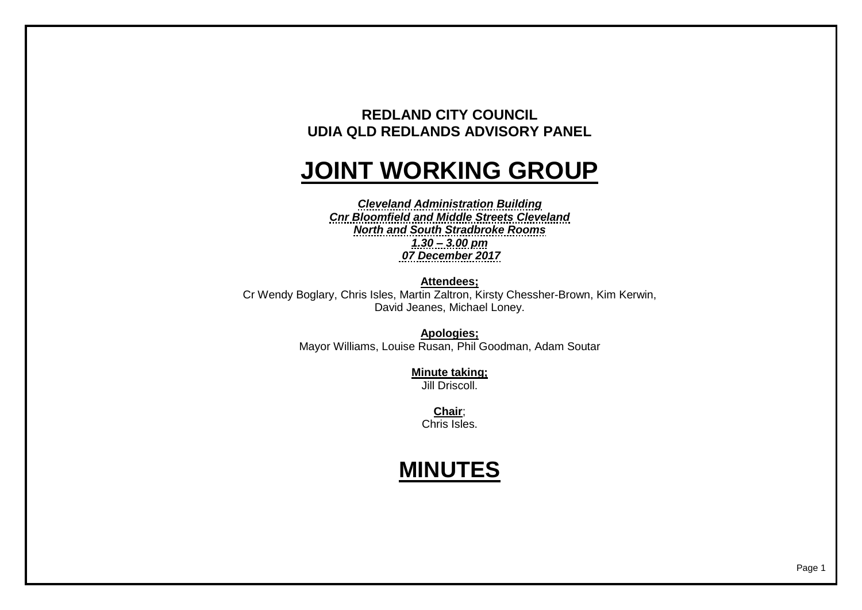## **REDLAND CITY COUNCIL UDIA QLD REDLANDS ADVISORY PANEL**

## **JOINT WORKING GROUP**

*Cleveland Administration Building Cnr Bloomfield and Middle Streets Cleveland North and South Stradbroke Rooms 1.30 – 3.00 pm 07 December 2017*

**Attendees;** Cr Wendy Boglary, Chris Isles, Martin Zaltron, Kirsty Chessher-Brown, Kim Kerwin, David Jeanes, Michael Loney.

> **Apologies;** Mayor Williams, Louise Rusan, Phil Goodman, Adam Soutar

> > **Minute taking;** Jill Driscoll.

> > > **Chair**; Chris Isles.

## **MINUTES**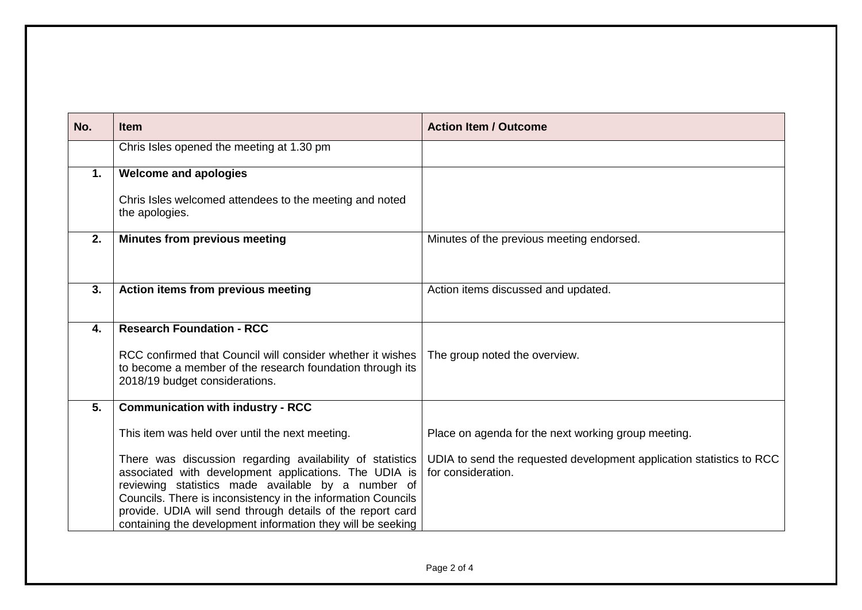| No.              | <b>Item</b>                                                                                                                                                                                                                                                                                                                                                           | <b>Action Item / Outcome</b>                                                               |
|------------------|-----------------------------------------------------------------------------------------------------------------------------------------------------------------------------------------------------------------------------------------------------------------------------------------------------------------------------------------------------------------------|--------------------------------------------------------------------------------------------|
|                  | Chris Isles opened the meeting at 1.30 pm                                                                                                                                                                                                                                                                                                                             |                                                                                            |
| 1.               | <b>Welcome and apologies</b>                                                                                                                                                                                                                                                                                                                                          |                                                                                            |
|                  | Chris Isles welcomed attendees to the meeting and noted<br>the apologies.                                                                                                                                                                                                                                                                                             |                                                                                            |
| 2.               | <b>Minutes from previous meeting</b>                                                                                                                                                                                                                                                                                                                                  | Minutes of the previous meeting endorsed.                                                  |
| 3.               | Action items from previous meeting                                                                                                                                                                                                                                                                                                                                    | Action items discussed and updated.                                                        |
| $\overline{4}$ . | <b>Research Foundation - RCC</b>                                                                                                                                                                                                                                                                                                                                      |                                                                                            |
|                  | RCC confirmed that Council will consider whether it wishes<br>to become a member of the research foundation through its<br>2018/19 budget considerations.                                                                                                                                                                                                             | The group noted the overview.                                                              |
| 5 <sub>1</sub>   | <b>Communication with industry - RCC</b>                                                                                                                                                                                                                                                                                                                              |                                                                                            |
|                  | This item was held over until the next meeting.                                                                                                                                                                                                                                                                                                                       | Place on agenda for the next working group meeting.                                        |
|                  | There was discussion regarding availability of statistics<br>associated with development applications. The UDIA is<br>reviewing statistics made available by a number of<br>Councils. There is inconsistency in the information Councils<br>provide. UDIA will send through details of the report card<br>containing the development information they will be seeking | UDIA to send the requested development application statistics to RCC<br>for consideration. |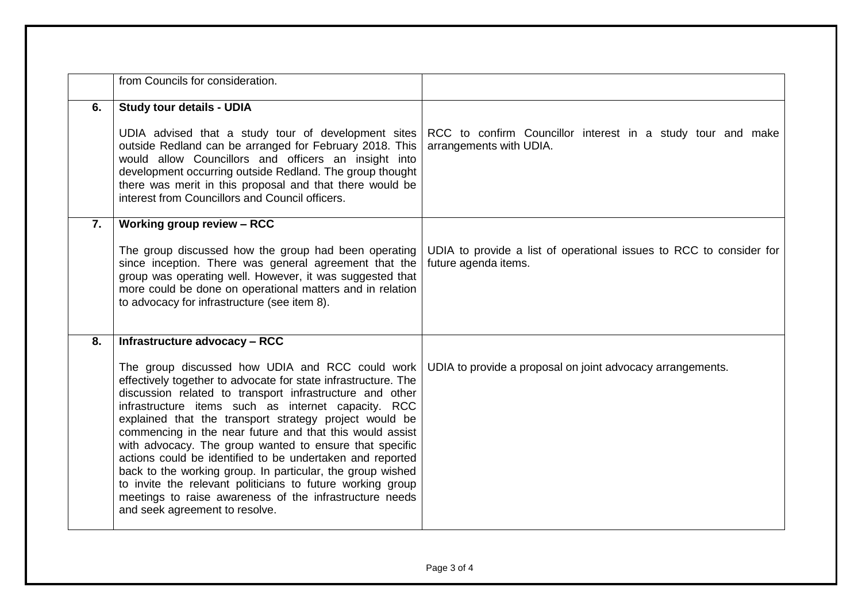|                  | from Councils for consideration.                                                                                                                                                                                                                                                                                                                                                                                                                                                                                                                                                                                                                                                                            |                                                                                             |
|------------------|-------------------------------------------------------------------------------------------------------------------------------------------------------------------------------------------------------------------------------------------------------------------------------------------------------------------------------------------------------------------------------------------------------------------------------------------------------------------------------------------------------------------------------------------------------------------------------------------------------------------------------------------------------------------------------------------------------------|---------------------------------------------------------------------------------------------|
|                  |                                                                                                                                                                                                                                                                                                                                                                                                                                                                                                                                                                                                                                                                                                             |                                                                                             |
| 6.               | <b>Study tour details - UDIA</b>                                                                                                                                                                                                                                                                                                                                                                                                                                                                                                                                                                                                                                                                            |                                                                                             |
|                  | UDIA advised that a study tour of development sites<br>outside Redland can be arranged for February 2018. This<br>would allow Councillors and officers an insight into<br>development occurring outside Redland. The group thought<br>there was merit in this proposal and that there would be<br>interest from Councillors and Council officers.                                                                                                                                                                                                                                                                                                                                                           | RCC to confirm Councillor interest in a study tour and make<br>arrangements with UDIA.      |
| $\overline{7}$ . | Working group review - RCC                                                                                                                                                                                                                                                                                                                                                                                                                                                                                                                                                                                                                                                                                  |                                                                                             |
|                  | The group discussed how the group had been operating<br>since inception. There was general agreement that the<br>group was operating well. However, it was suggested that<br>more could be done on operational matters and in relation<br>to advocacy for infrastructure (see item 8).                                                                                                                                                                                                                                                                                                                                                                                                                      | UDIA to provide a list of operational issues to RCC to consider for<br>future agenda items. |
| 8.               | Infrastructure advocacy - RCC                                                                                                                                                                                                                                                                                                                                                                                                                                                                                                                                                                                                                                                                               |                                                                                             |
|                  | The group discussed how UDIA and RCC could work<br>effectively together to advocate for state infrastructure. The<br>discussion related to transport infrastructure and other<br>infrastructure items such as internet capacity. RCC<br>explained that the transport strategy project would be<br>commencing in the near future and that this would assist<br>with advocacy. The group wanted to ensure that specific<br>actions could be identified to be undertaken and reported<br>back to the working group. In particular, the group wished<br>to invite the relevant politicians to future working group<br>meetings to raise awareness of the infrastructure needs<br>and seek agreement to resolve. | UDIA to provide a proposal on joint advocacy arrangements.                                  |